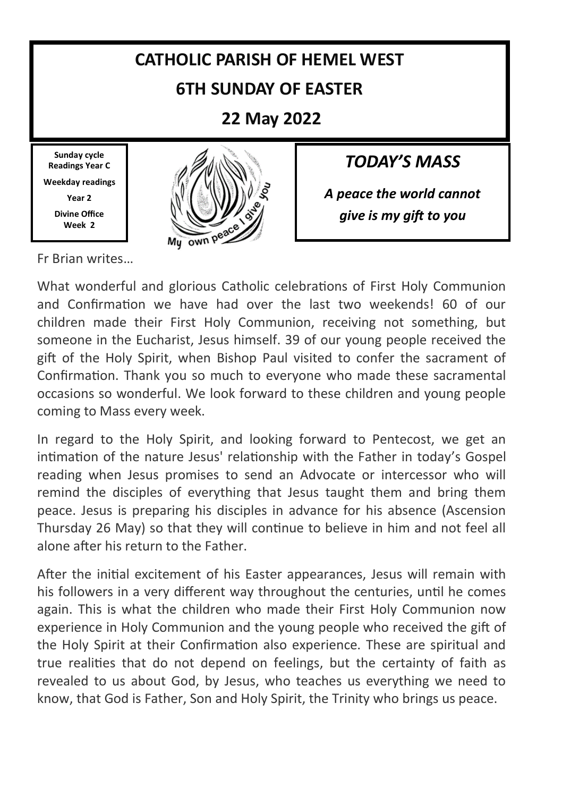#### **CATHOLIC PARISH OF HEMEL WEST 6TH SUNDAY OF EASTER 22 May 2022 Sunday cycle** *TODAY'S MASS* **Readings Year C Weekday readings**  *A peace the world cannot*  **Year 2 Divine Office** *give is my gift to you* **Week 2** My own peac Fr Brian writes…

What wonderful and glorious Catholic celebrations of First Holy Communion and Confirmation we have had over the last two weekends! 60 of our children made their First Holy Communion, receiving not something, but someone in the Eucharist, Jesus himself. 39 of our young people received the gift of the Holy Spirit, when Bishop Paul visited to confer the sacrament of Confirmation. Thank you so much to everyone who made these sacramental occasions so wonderful. We look forward to these children and young people coming to Mass every week.

In regard to the Holy Spirit, and looking forward to Pentecost, we get an intimation of the nature Jesus' relationship with the Father in today's Gospel reading when Jesus promises to send an Advocate or intercessor who will remind the disciples of everything that Jesus taught them and bring them peace. Jesus is preparing his disciples in advance for his absence (Ascension Thursday 26 May) so that they will continue to believe in him and not feel all alone after his return to the Father.

After the initial excitement of his Easter appearances, Jesus will remain with his followers in a very different way throughout the centuries, until he comes again. This is what the children who made their First Holy Communion now experience in Holy Communion and the young people who received the gift of the Holy Spirit at their Confirmation also experience. These are spiritual and true realities that do not depend on feelings, but the certainty of faith as revealed to us about God, by Jesus, who teaches us everything we need to know, that God is Father, Son and Holy Spirit, the Trinity who brings us peace.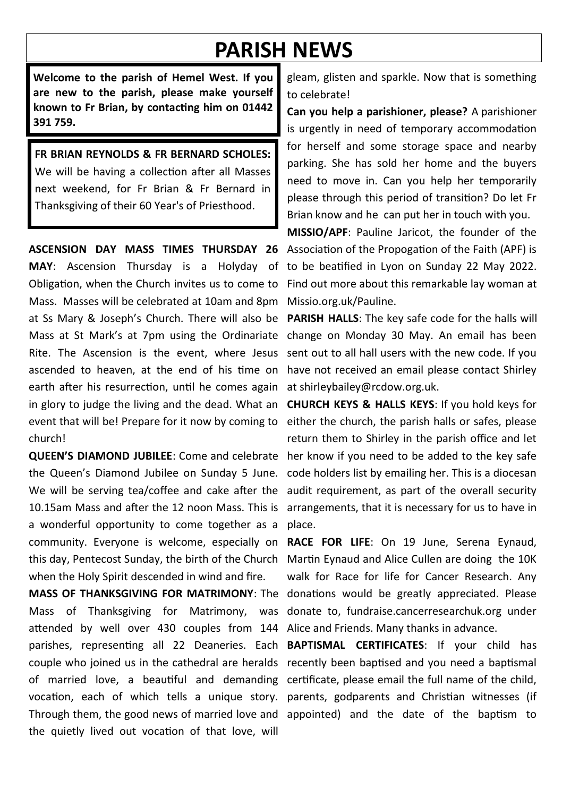# **PARISH NEWS**

**Welcome to the parish of Hemel West. If you are new to the parish, please make yourself known to Fr Brian, by contacting him on 01442 391 759.**

**FR BRIAN REYNOLDS & FR BERNARD SCHOLES:**  We will be having a collection after all Masses next weekend, for Fr Brian & Fr Bernard in Thanksgiving of their 60 Year's of Priesthood.

**ASCENSION DAY MASS TIMES THURSDAY 26 MAY**: Ascension Thursday is a Holyday of Obligation, when the Church invites us to come to Mass. Masses will be celebrated at 10am and 8pm at Ss Mary & Joseph's Church. There will also be Mass at St Mark's at 7pm using the Ordinariate Rite. The Ascension is the event, where Jesus ascended to heaven, at the end of his time on earth after his resurrection, until he comes again in glory to judge the living and the dead. What an event that will be! Prepare for it now by coming to church!

**QUEEN'S DIAMOND JUBILEE**: Come and celebrate the Queen's Diamond Jubilee on Sunday 5 June. We will be serving tea/coffee and cake after the 10.15am Mass and after the 12 noon Mass. This is a wonderful opportunity to come together as a community. Everyone is welcome, especially on this day, Pentecost Sunday, the birth of the Church when the Holy Spirit descended in wind and fire.

**MASS OF THANKSGIVING FOR MATRIMONY**: The Mass of Thanksgiving for Matrimony, was attended by well over 430 couples from 144 Alice and Friends. Many thanks in advance. parishes, representing all 22 Deaneries. Each couple who joined us in the cathedral are heralds recently been baptised and you need a baptismal of married love, a beautiful and demanding certificate, please email the full name of the child, vocation, each of which tells a unique story. parents, godparents and Christian witnesses (if Through them, the good news of married love and appointed) and the date of the baptism to the quietly lived out vocation of that love, will

gleam, glisten and sparkle. Now that is something to celebrate!

**Can you help a parishioner, please?** A parishioner is urgently in need of temporary accommodation for herself and some storage space and nearby parking. She has sold her home and the buyers need to move in. Can you help her temporarily please through this period of transition? Do let Fr Brian know and he can put her in touch with you.

**MISSIO/APF**: Pauline Jaricot, the founder of the Association of the Propogation of the Faith (APF) is to be beatified in Lyon on Sunday 22 May 2022. Find out more about this remarkable lay woman at Missio.org.uk/Pauline.

**PARISH HALLS**: The key safe code for the halls will change on Monday 30 May. An email has been sent out to all hall users with the new code. If you have not received an email please contact Shirley at shirleybailey@rcdow.org.uk.

**CHURCH KEYS & HALLS KEYS**: If you hold keys for either the church, the parish halls or safes, please return them to Shirley in the parish office and let her know if you need to be added to the key safe code holders list by emailing her. This is a diocesan audit requirement, as part of the overall security arrangements, that it is necessary for us to have in place.

**RACE FOR LIFE**: On 19 June, Serena Eynaud, Martin Eynaud and Alice Cullen are doing the 10K walk for Race for life for Cancer Research. Any donations would be greatly appreciated. Please donate to, fundraise.cancerresearchuk.org under

**BAPTISMAL CERTIFICATES**: If your child has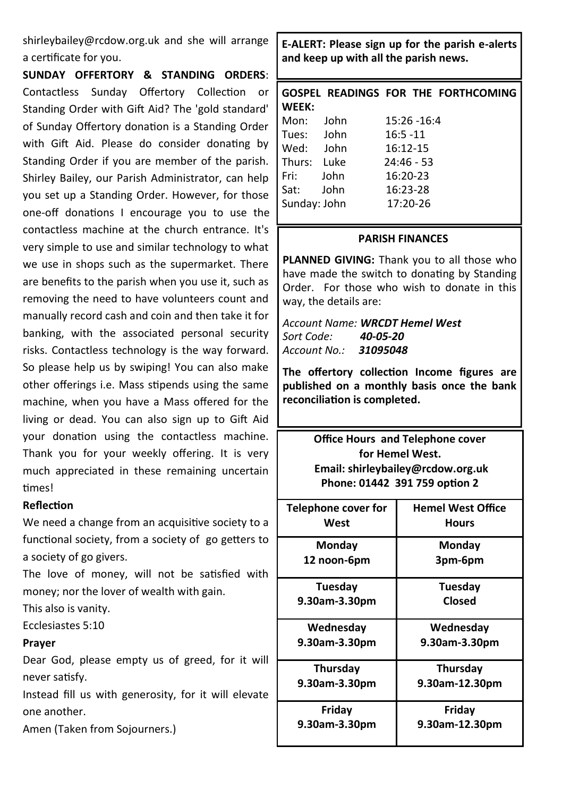shirleybailey@rcdow.org.uk and she will arrange a certificate for you.

**SUNDAY OFFERTORY & STANDING ORDERS**: Contactless Sunday Offertory Collection or Standing Order with Gift Aid? The 'gold standard' of Sunday Offertory donation is a Standing Order with Gift Aid. Please do consider donating by Standing Order if you are member of the parish. Shirley Bailey, our Parish Administrator, can help you set up a Standing Order. However, for those one-off donations I encourage you to use the contactless machine at the church entrance. It's very simple to use and similar technology to what we use in shops such as the supermarket. There are benefits to the parish when you use it, such as removing the need to have volunteers count and manually record cash and coin and then take it for banking, with the associated personal security risks. Contactless technology is the way forward. So please help us by swiping! You can also make other offerings i.e. Mass stipends using the same machine, when you have a Mass offered for the living or dead. You can also sign up to Gift Aid your donation using the contactless machine. Thank you for your weekly offering. It is very much appreciated in these remaining uncertain times!

#### **Reflection**

We need a change from an acquisitive society to a functional society, from a society of go getters to a society of go givers.

The love of money, will not be satisfied with money; nor the lover of wealth with gain.

This also is vanity.

Ecclesiastes 5:10

#### **Prayer**

Dear God, please empty us of greed, for it will never satisfy.

Instead fill us with generosity, for it will elevate one another.

Amen (Taken from Sojourners.)

**E-ALERT: Please sign up for the parish e-alerts and keep up with all the parish news.** 

|              |      |              |             | GOSPEL READINGS FOR THE FORTHCOMING |
|--------------|------|--------------|-------------|-------------------------------------|
| WEEK:        |      |              |             |                                     |
| Mon:         | John |              | 15:26 -16:4 |                                     |
| Tues: John   |      | $16:5 - 11$  |             |                                     |
| Wed: John    |      | 16:12-15     |             |                                     |
| Thurs: Luke  |      | $24:46 - 53$ |             |                                     |
| Fri:         | John | 16:20-23     |             |                                     |
| Sat:         | John | 16:23-28     |             |                                     |
| Sunday: John |      | 17:20-26     |             |                                     |
|              |      |              |             |                                     |

#### **PARISH FINANCES**

**PLANNED GIVING:** Thank you to all those who have made the switch to donating by Standing Order. For those who wish to donate in this way, the details are:

*Account Name: WRCDT Hemel West Sort Code: 40-05-20 Account No.: 31095048*

**The offertory collection Income figures are published on a monthly basis once the bank reconciliation is completed.**

> **Office Hours and Telephone cover for Hemel West. Email: shirleybailey@rcdow.org.uk Phone: 01442 391 759 option 2**

| Telephone cover for<br>West | <b>Hemel West Office</b><br><b>Hours</b> |
|-----------------------------|------------------------------------------|
| Monday                      | Mondav                                   |
| 12 noon-6pm                 | 3pm-6pm                                  |
| Tuesdav                     | Tuesday                                  |
| 9.30am-3.30pm               | Closed                                   |
| Wednesday                   | Wednesday                                |
| 9.30am-3.30pm               | 9.30am-3.30pm                            |
| Thursday                    | <b>Thursday</b>                          |
| 9.30am-3.30pm               | 9.30am-12.30pm                           |
| Friday                      | Friday                                   |
| 9.30am-3.30pm               | 9.30am-12.30pm                           |